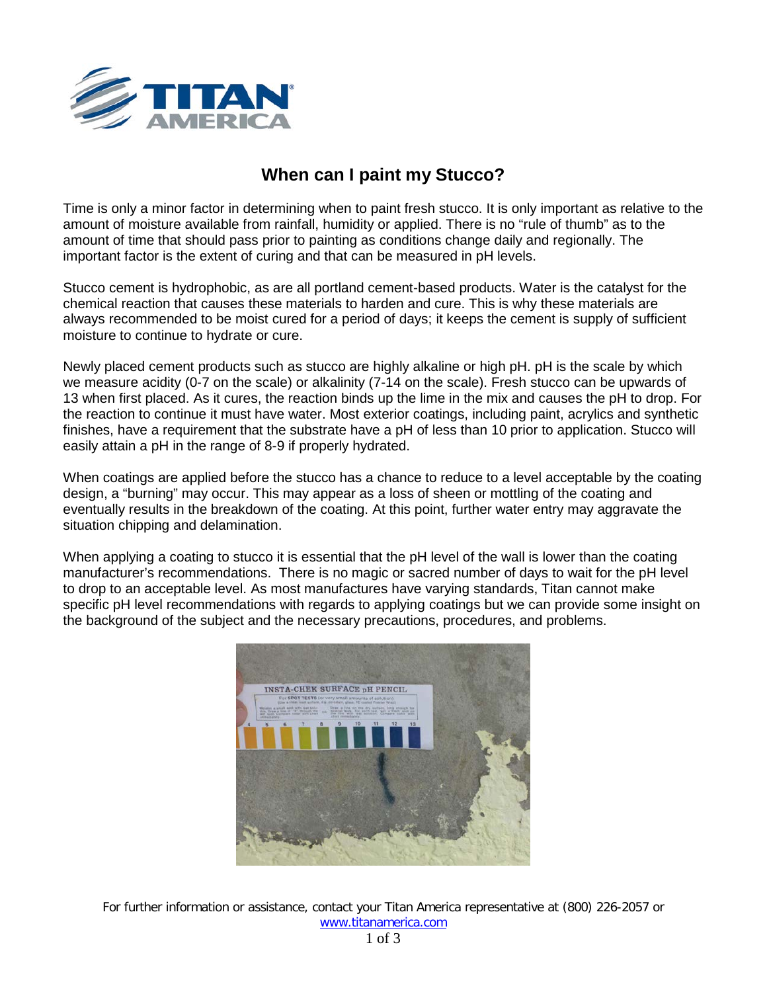

## **When can I paint my Stucco?**

Time is only a minor factor in determining when to paint fresh stucco. It is only important as relative to the amount of moisture available from rainfall, humidity or applied. There is no "rule of thumb" as to the amount of time that should pass prior to painting as conditions change daily and regionally. The important factor is the extent of curing and that can be measured in pH levels.

Stucco cement is hydrophobic, as are all portland cement-based products. Water is the catalyst for the chemical reaction that causes these materials to harden and cure. This is why these materials are always recommended to be moist cured for a period of days; it keeps the cement is supply of sufficient moisture to continue to hydrate or cure.

Newly placed cement products such as stucco are highly alkaline or high pH. pH is the scale by which we measure acidity (0-7 on the scale) or alkalinity (7-14 on the scale). Fresh stucco can be upwards of 13 when first placed. As it cures, the reaction binds up the lime in the mix and causes the pH to drop. For the reaction to continue it must have water. Most exterior coatings, including paint, acrylics and synthetic finishes, have a requirement that the substrate have a pH of less than 10 prior to application. Stucco will easily attain a pH in the range of 8-9 if properly hydrated.

When coatings are applied before the stucco has a chance to reduce to a level acceptable by the coating design, a "burning" may occur. This may appear as a loss of sheen or mottling of the coating and eventually results in the breakdown of the coating. At this point, further water entry may aggravate the situation chipping and delamination.

When applying a coating to stucco it is essential that the pH level of the wall is lower than the coating manufacturer's recommendations. There is no magic or sacred number of days to wait for the pH level to drop to an acceptable level. As most manufactures have varying standards, Titan cannot make specific pH level recommendations with regards to applying coatings but we can provide some insight on the background of the subject and the necessary precautions, procedures, and problems.



For further information or assistance, contact your Titan America representative at (800) 226-2057 or [www.titanamerica.com](http://www.titanamerica.com/)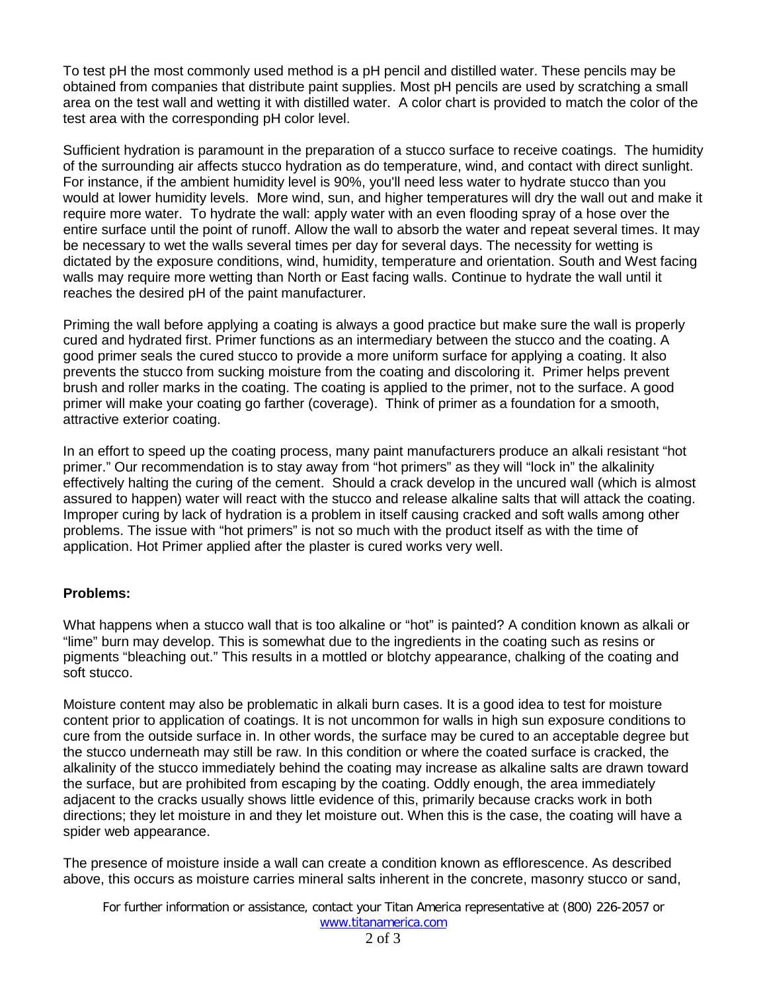To test pH the most commonly used method is a pH pencil and distilled water. These pencils may be obtained from companies that distribute paint supplies. Most pH pencils are used by scratching a small area on the test wall and wetting it with distilled water. A color chart is provided to match the color of the test area with the corresponding pH color level.

Sufficient hydration is paramount in the preparation of a stucco surface to receive coatings. The humidity of the surrounding air affects stucco hydration as do temperature, wind, and contact with direct sunlight. For instance, if the ambient humidity level is 90%, you'll need less water to hydrate stucco than you would at lower humidity levels. More wind, sun, and higher temperatures will dry the wall out and make it require more water. To hydrate the wall: apply water with an even flooding spray of a hose over the entire surface until the point of runoff. Allow the wall to absorb the water and repeat several times. It may be necessary to wet the walls several times per day for several days. The necessity for wetting is dictated by the exposure conditions, wind, humidity, temperature and orientation. South and West facing walls may require more wetting than North or East facing walls. Continue to hydrate the wall until it reaches the desired pH of the paint manufacturer.

Priming the wall before applying a coating is always a good practice but make sure the wall is properly cured and hydrated first. Primer functions as an intermediary between the stucco and the coating. A good primer seals the cured stucco to provide a more uniform surface for applying a coating. It also prevents the stucco from sucking moisture from the coating and discoloring it. Primer helps prevent brush and roller marks in the coating. The coating is applied to the primer, not to the surface. A good primer will make your coating go farther (coverage). Think of primer as a foundation for a smooth, attractive exterior coating.

In an effort to speed up the coating process, many paint manufacturers produce an alkali resistant "hot primer." Our recommendation is to stay away from "hot primers" as they will "lock in" the alkalinity effectively halting the curing of the cement. Should a crack develop in the uncured wall (which is almost assured to happen) water will react with the stucco and release alkaline salts that will attack the coating. Improper curing by lack of hydration is a problem in itself causing cracked and soft walls among other problems. The issue with "hot primers" is not so much with the product itself as with the time of application. Hot Primer applied after the plaster is cured works very well.

## **Problems:**

What happens when a stucco wall that is too alkaline or "hot" is painted? A condition known as alkali or "lime" burn may develop. This is somewhat due to the ingredients in the coating such as resins or pigments "bleaching out." This results in a mottled or blotchy appearance, chalking of the coating and soft stucco.

Moisture content may also be problematic in alkali burn cases. It is a good idea to test for moisture content prior to application of coatings. It is not uncommon for walls in high sun exposure conditions to cure from the outside surface in. In other words, the surface may be cured to an acceptable degree but the stucco underneath may still be raw. In this condition or where the coated surface is cracked, the alkalinity of the stucco immediately behind the coating may increase as alkaline salts are drawn toward the surface, but are prohibited from escaping by the coating. Oddly enough, the area immediately adjacent to the cracks usually shows little evidence of this, primarily because cracks work in both directions; they let moisture in and they let moisture out. When this is the case, the coating will have a spider web appearance.

The presence of moisture inside a wall can create a condition known as efflorescence. As described above, this occurs as moisture carries mineral salts inherent in the concrete, masonry stucco or sand,

For further information or assistance, contact your Titan America representative at (800) 226-2057 or [www.titanamerica.com](http://www.titanamerica.com/)